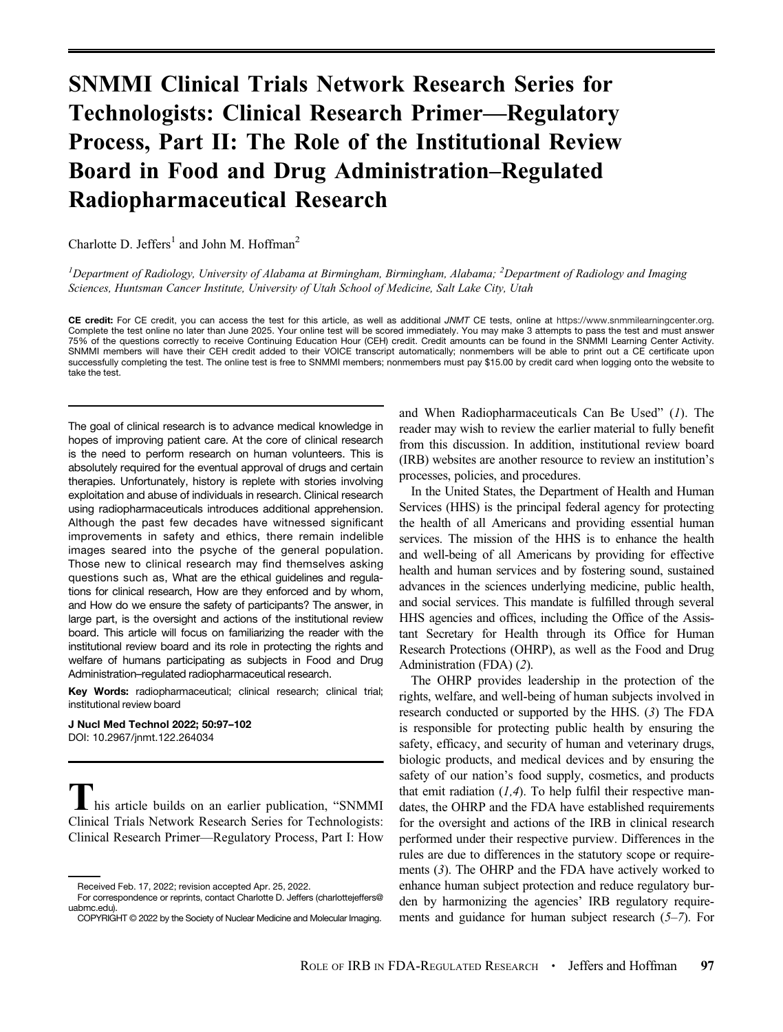# SNMMI Clinical Trials Network Research Series for Technologists: Clinical Research Primer—Regulatory Process, Part II: The Role of the Institutional Review Board in Food and Drug Administration–Regulated Radiopharmaceutical Research

Charlotte D. Jeffers<sup>1</sup> and John M. Hoffman<sup>2</sup>

<sup>1</sup>Department of Radiology, University of Alabama at Birmingham, Birmingham, Alabama; <sup>2</sup>Department of Radiology and Imaging Sciences, Huntsman Cancer Institute, University of Utah School of Medicine, Salt Lake City, Utah

CE credit: For CE credit, you can access the test for this article, as well as additional JNMT CE tests, online at [https://www.snmmilearningcenter.org.](https://www.snmmilearningcenter.org) Complete the test online no later than June 2025. Your online test will be scored immediately. You may make 3 attempts to pass the test and must answer 75% of the questions correctly to receive Continuing Education Hour (CEH) credit. Credit amounts can be found in the SNMMI Learning Center Activity. SNMMI members will have their CEH credit added to their VOICE transcript automatically; nonmembers will be able to print out a CE certificate upon successfully completing the test. The online test is free to SNMMI members; nonmembers must pay \$15.00 by credit card when logging onto the website to take the test.

The goal of clinical research is to advance medical knowledge in hopes of improving patient care. At the core of clinical research is the need to perform research on human volunteers. This is absolutely required for the eventual approval of drugs and certain therapies. Unfortunately, history is replete with stories involving exploitation and abuse of individuals in research. Clinical research using radiopharmaceuticals introduces additional apprehension. Although the past few decades have witnessed significant improvements in safety and ethics, there remain indelible images seared into the psyche of the general population. Those new to clinical research may find themselves asking questions such as, What are the ethical guidelines and regulations for clinical research, How are they enforced and by whom, and How do we ensure the safety of participants? The answer, in large part, is the oversight and actions of the institutional review board. This article will focus on familiarizing the reader with the institutional review board and its role in protecting the rights and welfare of humans participating as subjects in Food and Drug Administration–regulated radiopharmaceutical research.

Key Words: radiopharmaceutical; clinical research; clinical trial; institutional review board

J Nucl Med Technol 2022; 50:97–102 DOI: [10.2967/jnmt.122.264034](https://doi.org/10.2967/jnmt.122.264034)

his article builds on an earlier publication, "SNMMI Clinical Trials Network Research Series for Technologists: Clinical Research Primer—Regulatory Process, Part I: How

and When Radiopharmaceuticals Can Be Used" ([1](#page-5-0)). The reader may wish to review the earlier material to fully benefit from this discussion. In addition, institutional review board (IRB) websites are another resource to review an institution's processes, policies, and procedures.

In the United States, the Department of Health and Human Services (HHS) is the principal federal agency for protecting the health of all Americans and providing essential human services. The mission of the HHS is to enhance the health and well-being of all Americans by providing for effective health and human services and by fostering sound, sustained advances in the sciences underlying medicine, public health, and social services. This mandate is fulfilled through several HHS agencies and offices, including the Office of the Assistant Secretary for Health through its Office for Human Research Protections (OHRP), as well as the Food and Drug Administration (FDA) ([2](#page-5-0)).

The OHRP provides leadership in the protection of the rights, welfare, and well-being of human subjects involved in research conducted or supported by the HHS. ([3](#page-5-0)) The FDA is responsible for protecting public health by ensuring the safety, efficacy, and security of human and veterinary drugs, biologic products, and medical devices and by ensuring the safety of our nation's food supply, cosmetics, and products that emit radiation  $(1,4)$  $(1,4)$  $(1,4)$ . To help fulfil their respective mandates, the OHRP and the FDA have established requirements for the oversight and actions of the IRB in clinical research performed under their respective purview. Differences in the rules are due to differences in the statutory scope or requirements ([3](#page-5-0)). The OHRP and the FDA have actively worked to enhance human subject protection and reduce regulatory burden by harmonizing the agencies' IRB regulatory requirements and guidance for human subject research  $(5-7)$  $(5-7)$  $(5-7)$  $(5-7)$  $(5-7)$ . For

Received Feb. 17, 2022; revision accepted Apr. 25, 2022.

For correspondence or reprints, contact Charlotte D. Jeffers [\(charlottejeffers@](mailto:charlottejeffers@uabmc.edu) [uabmc.edu\)](mailto:charlottejeffers@uabmc.edu).

COPYRIGHT © 2022 by the Society of Nuclear Medicine and Molecular Imaging.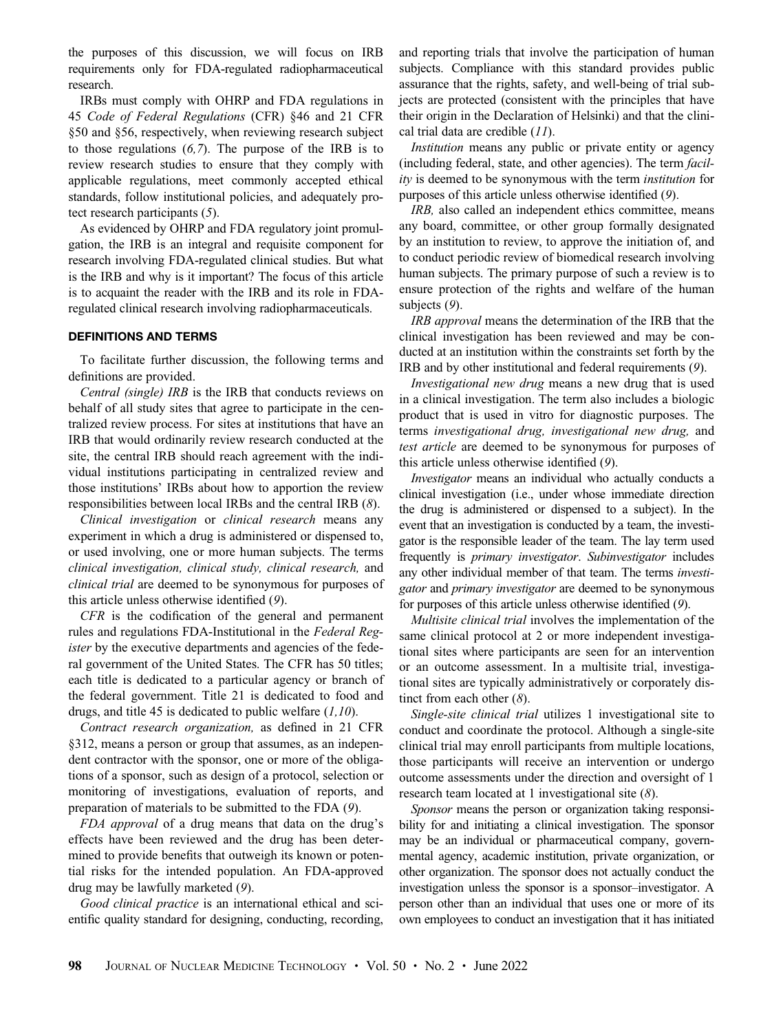the purposes of this discussion, we will focus on IRB requirements only for FDA-regulated radiopharmaceutical research.

IRBs must comply with OHRP and FDA regulations in 45 Code of Federal Regulations (CFR) §46 and 21 CFR §50 and §56, respectively, when reviewing research subject to those regulations ([6,7](#page-5-0)). The purpose of the IRB is to review research studies to ensure that they comply with applicable regulations, meet commonly accepted ethical standards, follow institutional policies, and adequately protect research participants ([5](#page-5-0)).

As evidenced by OHRP and FDA regulatory joint promulgation, the IRB is an integral and requisite component for research involving FDA-regulated clinical studies. But what is the IRB and why is it important? The focus of this article is to acquaint the reader with the IRB and its role in FDAregulated clinical research involving radiopharmaceuticals.

## DEFINITIONS AND TERMS

To facilitate further discussion, the following terms and definitions are provided.

Central (single) IRB is the IRB that conducts reviews on behalf of all study sites that agree to participate in the centralized review process. For sites at institutions that have an IRB that would ordinarily review research conducted at the site, the central IRB should reach agreement with the individual institutions participating in centralized review and those institutions' IRBs about how to apportion the review responsibilities between local IRBs and the central IRB ([8](#page-5-0)).

Clinical investigation or clinical research means any experiment in which a drug is administered or dispensed to, or used involving, one or more human subjects. The terms clinical investigation, clinical study, clinical research, and clinical trial are deemed to be synonymous for purposes of this article unless otherwise identified ([9](#page-5-0)).

CFR is the codification of the general and permanent rules and regulations FDA-Institutional in the Federal Register by the executive departments and agencies of the federal government of the United States. The CFR has 50 titles; each title is dedicated to a particular agency or branch of the federal government. Title 21 is dedicated to food and drugs, and title 45 is dedicated to public welfare  $(1,10)$  $(1,10)$  $(1,10)$ .

Contract research organization, as defined in 21 CFR §312, means a person or group that assumes, as an independent contractor with the sponsor, one or more of the obligations of a sponsor, such as design of a protocol, selection or monitoring of investigations, evaluation of reports, and preparation of materials to be submitted to the FDA ([9](#page-5-0)).

FDA approval of a drug means that data on the drug's effects have been reviewed and the drug has been determined to provide benefits that outweigh its known or potential risks for the intended population. An FDA-approved drug may be lawfully marketed ([9](#page-5-0)).

Good clinical practice is an international ethical and scientific quality standard for designing, conducting, recording,

and reporting trials that involve the participation of human subjects. Compliance with this standard provides public assurance that the rights, safety, and well-being of trial subjects are protected (consistent with the principles that have their origin in the Declaration of Helsinki) and that the clinical trial data are credible  $(11)$  $(11)$  $(11)$ .

Institution means any public or private entity or agency (including federal, state, and other agencies). The term facility is deemed to be synonymous with the term *institution* for purposes of this article unless otherwise identified ([9](#page-5-0)).

IRB, also called an independent ethics committee, means any board, committee, or other group formally designated by an institution to review, to approve the initiation of, and to conduct periodic review of biomedical research involving human subjects. The primary purpose of such a review is to ensure protection of the rights and welfare of the human subjects  $(9)$  $(9)$  $(9)$ .

IRB approval means the determination of the IRB that the clinical investigation has been reviewed and may be conducted at an institution within the constraints set forth by the IRB and by other institutional and federal requirements ([9](#page-5-0)).

Investigational new drug means a new drug that is used in a clinical investigation. The term also includes a biologic product that is used in vitro for diagnostic purposes. The terms investigational drug, investigational new drug, and test article are deemed to be synonymous for purposes of this article unless otherwise identified ([9](#page-5-0)).

Investigator means an individual who actually conducts a clinical investigation (i.e., under whose immediate direction the drug is administered or dispensed to a subject). In the event that an investigation is conducted by a team, the investigator is the responsible leader of the team. The lay term used frequently is primary investigator. Subinvestigator includes any other individual member of that team. The terms investigator and primary investigator are deemed to be synonymous for purposes of this article unless otherwise identified ([9](#page-5-0)).

Multisite clinical trial involves the implementation of the same clinical protocol at 2 or more independent investigational sites where participants are seen for an intervention or an outcome assessment. In a multisite trial, investigational sites are typically administratively or corporately distinct from each other  $(8)$  $(8)$  $(8)$ .

Single-site clinical trial utilizes 1 investigational site to conduct and coordinate the protocol. Although a single-site clinical trial may enroll participants from multiple locations, those participants will receive an intervention or undergo outcome assessments under the direction and oversight of 1 research team located at 1 investigational site ([8](#page-5-0)).

Sponsor means the person or organization taking responsibility for and initiating a clinical investigation. The sponsor may be an individual or pharmaceutical company, governmental agency, academic institution, private organization, or other organization. The sponsor does not actually conduct the investigation unless the sponsor is a sponsor–investigator. A person other than an individual that uses one or more of its own employees to conduct an investigation that it has initiated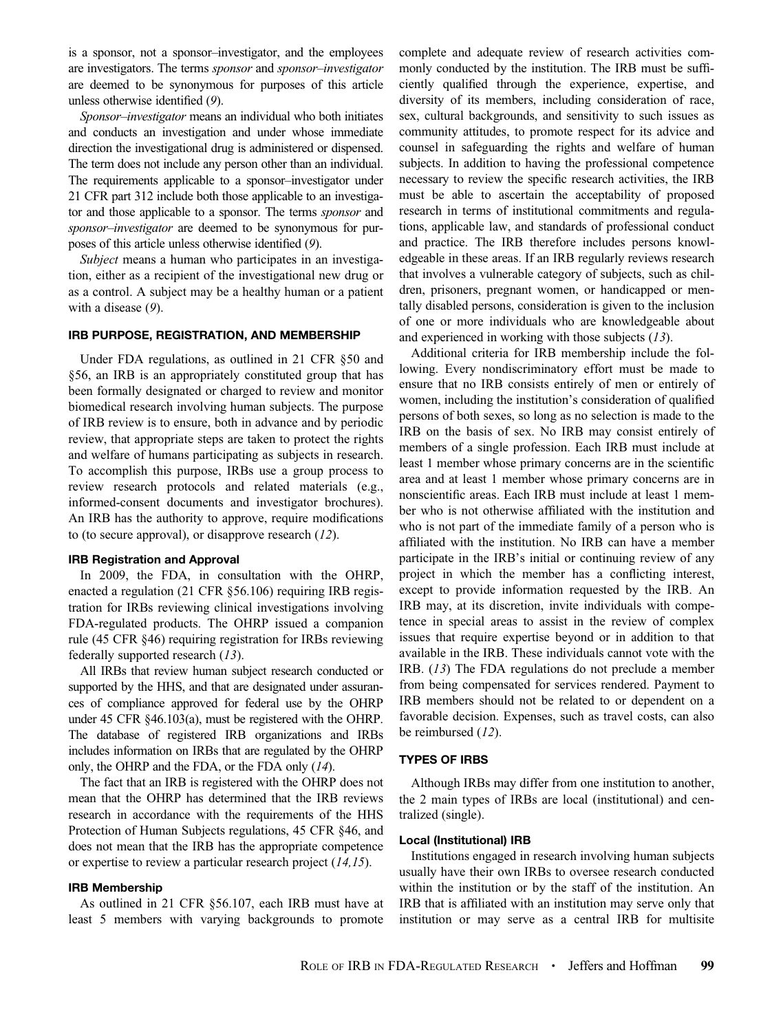is a sponsor, not a sponsor–investigator, and the employees are investigators. The terms sponsor and sponsor–investigator are deemed to be synonymous for purposes of this article unless otherwise identified ([9](#page-5-0)).

Sponsor–investigator means an individual who both initiates and conducts an investigation and under whose immediate direction the investigational drug is administered or dispensed. The term does not include any person other than an individual. The requirements applicable to a sponsor–investigator under 21 CFR part 312 include both those applicable to an investigator and those applicable to a sponsor. The terms sponsor and sponsor–investigator are deemed to be synonymous for purposes of this article unless otherwise identified ([9](#page-5-0)).

Subject means a human who participates in an investigation, either as a recipient of the investigational new drug or as a control. A subject may be a healthy human or a patient with a disease ([9](#page-5-0)).

#### IRB PURPOSE, REGISTRATION, AND MEMBERSHIP

Under FDA regulations, as outlined in 21 CFR §50 and §56, an IRB is an appropriately constituted group that has been formally designated or charged to review and monitor biomedical research involving human subjects. The purpose of IRB review is to ensure, both in advance and by periodic review, that appropriate steps are taken to protect the rights and welfare of humans participating as subjects in research. To accomplish this purpose, IRBs use a group process to review research protocols and related materials (e.g., informed-consent documents and investigator brochures). An IRB has the authority to approve, require modifications to (to secure approval), or disapprove research ([12](#page-5-0)).

#### IRB Registration and Approval

In 2009, the FDA, in consultation with the OHRP, enacted a regulation (21 CFR §56.106) requiring IRB registration for IRBs reviewing clinical investigations involving FDA-regulated products. The OHRP issued a companion rule (45 CFR §46) requiring registration for IRBs reviewing federally supported research ([13](#page-5-0)).

All IRBs that review human subject research conducted or supported by the HHS, and that are designated under assurances of compliance approved for federal use by the OHRP under 45 CFR §46.103(a), must be registered with the OHRP. The database of registered IRB organizations and IRBs includes information on IRBs that are regulated by the OHRP only, the OHRP and the FDA, or the FDA only ([14](#page-5-0)).

The fact that an IRB is registered with the OHRP does not mean that the OHRP has determined that the IRB reviews research in accordance with the requirements of the HHS Protection of Human Subjects regulations, 45 CFR §46, and does not mean that the IRB has the appropriate competence or expertise to review a particular research project ([14](#page-5-0),[15](#page-5-0)).

### IRB Membership

As outlined in 21 CFR §56.107, each IRB must have at least 5 members with varying backgrounds to promote complete and adequate review of research activities commonly conducted by the institution. The IRB must be sufficiently qualified through the experience, expertise, and diversity of its members, including consideration of race, sex, cultural backgrounds, and sensitivity to such issues as community attitudes, to promote respect for its advice and counsel in safeguarding the rights and welfare of human subjects. In addition to having the professional competence necessary to review the specific research activities, the IRB must be able to ascertain the acceptability of proposed research in terms of institutional commitments and regulations, applicable law, and standards of professional conduct and practice. The IRB therefore includes persons knowledgeable in these areas. If an IRB regularly reviews research that involves a vulnerable category of subjects, such as children, prisoners, pregnant women, or handicapped or mentally disabled persons, consideration is given to the inclusion of one or more individuals who are knowledgeable about and experienced in working with those subjects ([13](#page-5-0)).

Additional criteria for IRB membership include the following. Every nondiscriminatory effort must be made to ensure that no IRB consists entirely of men or entirely of women, including the institution's consideration of qualified persons of both sexes, so long as no selection is made to the IRB on the basis of sex. No IRB may consist entirely of members of a single profession. Each IRB must include at least 1 member whose primary concerns are in the scientific area and at least 1 member whose primary concerns are in nonscientific areas. Each IRB must include at least 1 member who is not otherwise affiliated with the institution and who is not part of the immediate family of a person who is affiliated with the institution. No IRB can have a member participate in the IRB's initial or continuing review of any project in which the member has a conflicting interest, except to provide information requested by the IRB. An IRB may, at its discretion, invite individuals with competence in special areas to assist in the review of complex issues that require expertise beyond or in addition to that available in the IRB. These individuals cannot vote with the IRB. ([13](#page-5-0)) The FDA regulations do not preclude a member from being compensated for services rendered. Payment to IRB members should not be related to or dependent on a favorable decision. Expenses, such as travel costs, can also be reimbursed ([12](#page-5-0)).

#### TYPES OF IRBS

Although IRBs may differ from one institution to another, the 2 main types of IRBs are local (institutional) and centralized (single).

### Local (Institutional) IRB

Institutions engaged in research involving human subjects usually have their own IRBs to oversee research conducted within the institution or by the staff of the institution. An IRB that is affiliated with an institution may serve only that institution or may serve as a central IRB for multisite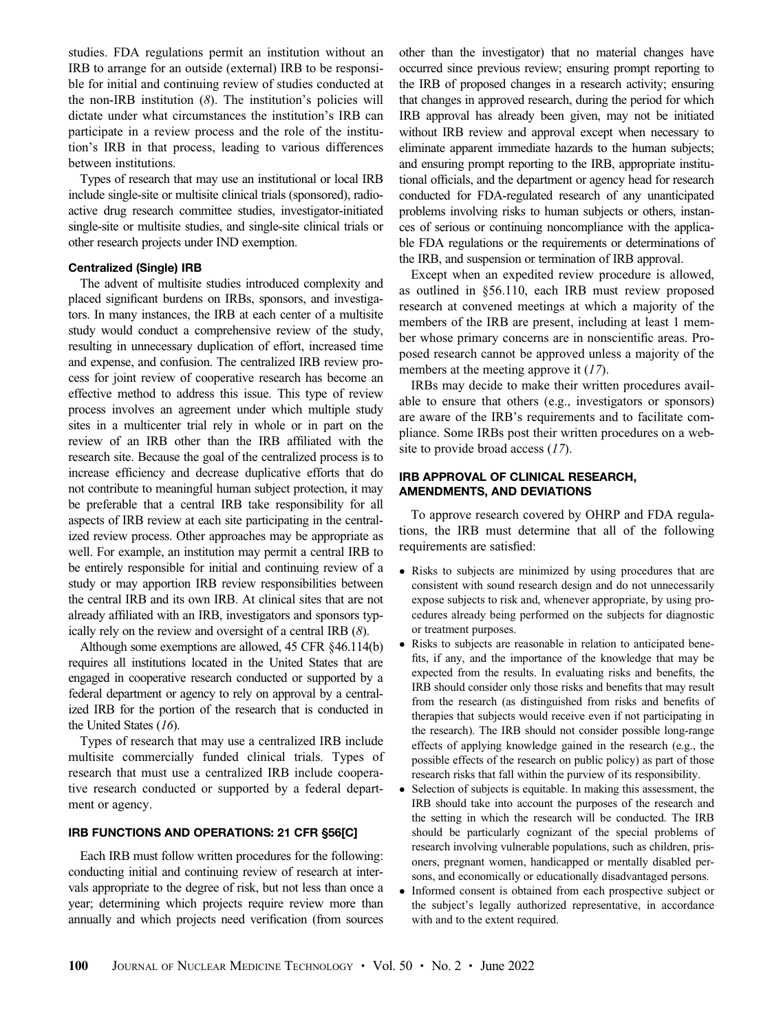studies. FDA regulations permit an institution without an IRB to arrange for an outside (external) IRB to be responsible for initial and continuing review of studies conducted at the non-IRB institution  $(8)$  $(8)$  $(8)$ . The institution's policies will dictate under what circumstances the institution's IRB can participate in a review process and the role of the institution's IRB in that process, leading to various differences between institutions.

Types of research that may use an institutional or local IRB include single-site or multisite clinical trials (sponsored), radioactive drug research committee studies, investigator-initiated single-site or multisite studies, and single-site clinical trials or other research projects under IND exemption.

### Centralized (Single) IRB

The advent of multisite studies introduced complexity and placed significant burdens on IRBs, sponsors, and investigators. In many instances, the IRB at each center of a multisite study would conduct a comprehensive review of the study, resulting in unnecessary duplication of effort, increased time and expense, and confusion. The centralized IRB review process for joint review of cooperative research has become an effective method to address this issue. This type of review process involves an agreement under which multiple study sites in a multicenter trial rely in whole or in part on the review of an IRB other than the IRB affiliated with the research site. Because the goal of the centralized process is to increase efficiency and decrease duplicative efforts that do not contribute to meaningful human subject protection, it may be preferable that a central IRB take responsibility for all aspects of IRB review at each site participating in the centralized review process. Other approaches may be appropriate as well. For example, an institution may permit a central IRB to be entirely responsible for initial and continuing review of a study or may apportion IRB review responsibilities between the central IRB and its own IRB. At clinical sites that are not already affiliated with an IRB, investigators and sponsors typically rely on the review and oversight of a central IRB ([8](#page-5-0)).

Although some exemptions are allowed, 45 CFR §46.114(b) requires all institutions located in the United States that are engaged in cooperative research conducted or supported by a federal department or agency to rely on approval by a centralized IRB for the portion of the research that is conducted in the United States ([16](#page-5-0)).

Types of research that may use a centralized IRB include multisite commercially funded clinical trials. Types of research that must use a centralized IRB include cooperative research conducted or supported by a federal department or agency.

#### IRB FUNCTIONS AND OPERATIONS: 21 CFR §56[C]

Each IRB must follow written procedures for the following: conducting initial and continuing review of research at intervals appropriate to the degree of risk, but not less than once a year; determining which projects require review more than annually and which projects need verification (from sources other than the investigator) that no material changes have occurred since previous review; ensuring prompt reporting to the IRB of proposed changes in a research activity; ensuring that changes in approved research, during the period for which IRB approval has already been given, may not be initiated without IRB review and approval except when necessary to eliminate apparent immediate hazards to the human subjects; and ensuring prompt reporting to the IRB, appropriate institutional officials, and the department or agency head for research conducted for FDA-regulated research of any unanticipated problems involving risks to human subjects or others, instances of serious or continuing noncompliance with the applicable FDA regulations or the requirements or determinations of the IRB, and suspension or termination of IRB approval.

Except when an expedited review procedure is allowed, as outlined in §56.110, each IRB must review proposed research at convened meetings at which a majority of the members of the IRB are present, including at least 1 member whose primary concerns are in nonscientific areas. Proposed research cannot be approved unless a majority of the members at the meeting approve it ([17](#page-5-0)).

IRBs may decide to make their written procedures available to ensure that others (e.g., investigators or sponsors) are aware of the IRB's requirements and to facilitate compliance. Some IRBs post their written procedures on a web-site to provide broad access ([17](#page-5-0)).

## IRB APPROVAL OF CLINICAL RESEARCH, AMENDMENTS, AND DEVIATIONS

To approve research covered by OHRP and FDA regulations, the IRB must determine that all of the following requirements are satisfied:

- Risks to subjects are minimized by using procedures that are consistent with sound research design and do not unnecessarily expose subjects to risk and, whenever appropriate, by using procedures already being performed on the subjects for diagnostic or treatment purposes.
- Risks to subjects are reasonable in relation to anticipated benefits, if any, and the importance of the knowledge that may be expected from the results. In evaluating risks and benefits, the IRB should consider only those risks and benefits that may result from the research (as distinguished from risks and benefits of therapies that subjects would receive even if not participating in the research). The IRB should not consider possible long-range effects of applying knowledge gained in the research (e.g., the possible effects of the research on public policy) as part of those research risks that fall within the purview of its responsibility.
- Selection of subjects is equitable. In making this assessment, the IRB should take into account the purposes of the research and the setting in which the research will be conducted. The IRB should be particularly cognizant of the special problems of research involving vulnerable populations, such as children, prisoners, pregnant women, handicapped or mentally disabled persons, and economically or educationally disadvantaged persons.
- Informed consent is obtained from each prospective subject or the subject's legally authorized representative, in accordance with and to the extent required.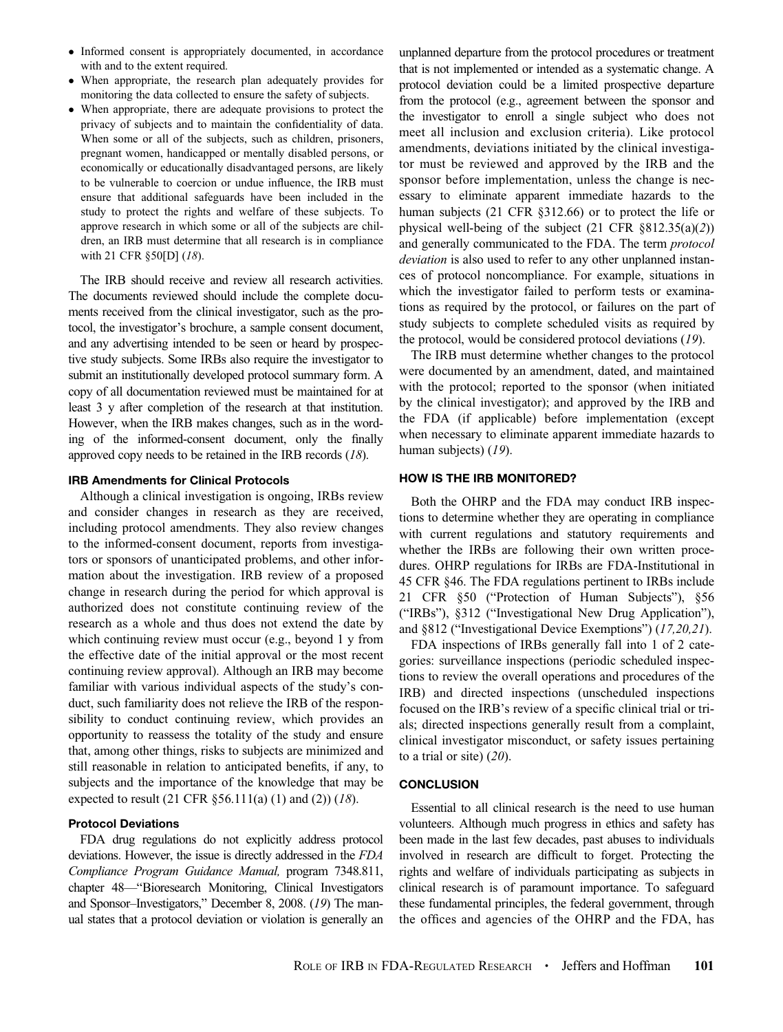- Informed consent is appropriately documented, in accordance with and to the extent required.
- When appropriate, the research plan adequately provides for monitoring the data collected to ensure the safety of subjects.
- When appropriate, there are adequate provisions to protect the privacy of subjects and to maintain the confidentiality of data. When some or all of the subjects, such as children, prisoners, pregnant women, handicapped or mentally disabled persons, or economically or educationally disadvantaged persons, are likely to be vulnerable to coercion or undue influence, the IRB must ensure that additional safeguards have been included in the study to protect the rights and welfare of these subjects. To approve research in which some or all of the subjects are children, an IRB must determine that all research is in compliance with 21 CFR §50[D] ([18](#page-5-0)).

The IRB should receive and review all research activities. The documents reviewed should include the complete documents received from the clinical investigator, such as the protocol, the investigator's brochure, a sample consent document, and any advertising intended to be seen or heard by prospective study subjects. Some IRBs also require the investigator to submit an institutionally developed protocol summary form. A copy of all documentation reviewed must be maintained for at least 3 y after completion of the research at that institution. However, when the IRB makes changes, such as in the wording of the informed-consent document, only the finally approved copy needs to be retained in the IRB records ([18](#page-5-0)).

### IRB Amendments for Clinical Protocols

Although a clinical investigation is ongoing, IRBs review and consider changes in research as they are received, including protocol amendments. They also review changes to the informed-consent document, reports from investigators or sponsors of unanticipated problems, and other information about the investigation. IRB review of a proposed change in research during the period for which approval is authorized does not constitute continuing review of the research as a whole and thus does not extend the date by which continuing review must occur (e.g., beyond 1 y from the effective date of the initial approval or the most recent continuing review approval). Although an IRB may become familiar with various individual aspects of the study's conduct, such familiarity does not relieve the IRB of the responsibility to conduct continuing review, which provides an opportunity to reassess the totality of the study and ensure that, among other things, risks to subjects are minimized and still reasonable in relation to anticipated benefits, if any, to subjects and the importance of the knowledge that may be expected to result (21 CFR  $\S 56.111(a) (1)$  and (2)) ([18](#page-5-0)).

#### Protocol Deviations

FDA drug regulations do not explicitly address protocol deviations. However, the issue is directly addressed in the FDA Compliance Program Guidance Manual, program 7348.811, chapter 48—"Bioresearch Monitoring, Clinical Investigators and Sponsor–Investigators," December 8, 2008. ([19](#page-5-0)) The manual states that a protocol deviation or violation is generally an unplanned departure from the protocol procedures or treatment that is not implemented or intended as a systematic change. A protocol deviation could be a limited prospective departure from the protocol (e.g., agreement between the sponsor and the investigator to enroll a single subject who does not meet all inclusion and exclusion criteria). Like protocol amendments, deviations initiated by the clinical investigator must be reviewed and approved by the IRB and the sponsor before implementation, unless the change is necessary to eliminate apparent immediate hazards to the human subjects (21 CFR §312.66) or to protect the life or physical well-being of the subject (21 CFR §812.35(a)([2](#page-5-0))) and generally communicated to the FDA. The term protocol deviation is also used to refer to any other unplanned instances of protocol noncompliance. For example, situations in which the investigator failed to perform tests or examinations as required by the protocol, or failures on the part of study subjects to complete scheduled visits as required by the protocol, would be considered protocol deviations ([19](#page-5-0)).

The IRB must determine whether changes to the protocol were documented by an amendment, dated, and maintained with the protocol; reported to the sponsor (when initiated by the clinical investigator); and approved by the IRB and the FDA (if applicable) before implementation (except when necessary to eliminate apparent immediate hazards to human subjects) ([19](#page-5-0)).

## HOW IS THE IRB MONITORED?

Both the OHRP and the FDA may conduct IRB inspections to determine whether they are operating in compliance with current regulations and statutory requirements and whether the IRBs are following their own written procedures. OHRP regulations for IRBs are FDA-Institutional in 45 CFR §46. The FDA regulations pertinent to IRBs include 21 CFR §50 ("Protection of Human Subjects"), §56 ("IRBs"), §312 ("Investigational New Drug Application"), and §812 ("Investigational Device Exemptions") ([17](#page-5-0),[20](#page-5-0),[21](#page-5-0)).

FDA inspections of IRBs generally fall into 1 of 2 categories: surveillance inspections (periodic scheduled inspections to review the overall operations and procedures of the IRB) and directed inspections (unscheduled inspections focused on the IRB's review of a specific clinical trial or trials; directed inspections generally result from a complaint, clinical investigator misconduct, or safety issues pertaining to a trial or site)  $(20)$  $(20)$  $(20)$ .

#### **CONCLUSION**

Essential to all clinical research is the need to use human volunteers. Although much progress in ethics and safety has been made in the last few decades, past abuses to individuals involved in research are difficult to forget. Protecting the rights and welfare of individuals participating as subjects in clinical research is of paramount importance. To safeguard these fundamental principles, the federal government, through the offices and agencies of the OHRP and the FDA, has